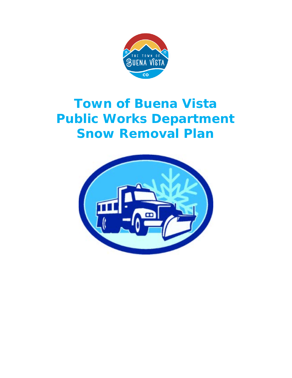

# **Town of Buena Vista Public Works Department Snow Removal Plan**

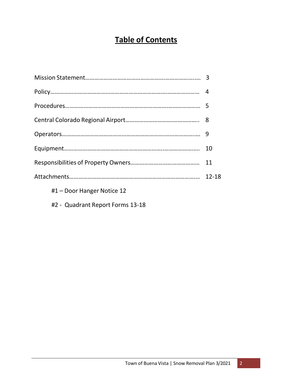## **Table of Contents**

|                            | 9         |
|----------------------------|-----------|
|                            | 10        |
|                            | 11        |
|                            | $12 - 18$ |
| #1 – Door Hanger Notice 12 |           |
|                            |           |

#2 - Quadrant Report Forms 13-18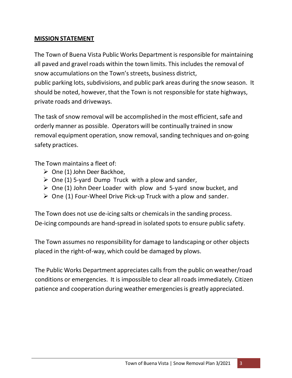#### **MISSION STATEMENT**

The Town of Buena Vista Public Works Department is responsible for maintaining all paved and gravel roads within the town limits. This includes the removal of snow accumulations on the Town's streets, business district, public parking lots, subdivisions, and public park areas during the snow season. It should be noted, however, that the Town is not responsible for state highways, private roads and driveways.

The task of snow removal will be accomplished in the most efficient, safe and orderly manner as possible. Operators will be continually trained in snow removal equipment operation, snow removal, sanding techniques and on-going safety practices.

The Town maintains a fleet of:

- $\triangleright$  One (1) John Deer Backhoe,
- $\triangleright$  One (1) 5-yard Dump Truck with a plow and sander,
- $\triangleright$  One (1) John Deer Loader with plow and 5-yard snow bucket, and
- $\triangleright$  One (1) Four-Wheel Drive Pick-up Truck with a plow and sander.

The Town does not use de-icing salts or chemicals in the sanding process. De-icing compounds are hand-spread in isolated spots to ensure public safety.

The Town assumes no responsibility for damage to landscaping or other objects placed in the right-of-way, which could be damaged by plows.

The Public Works Department appreciates calls from the public on weather/road conditions or emergencies. It is impossible to clear all roads immediately. Citizen patience and cooperation during weather emergencies is greatly appreciated.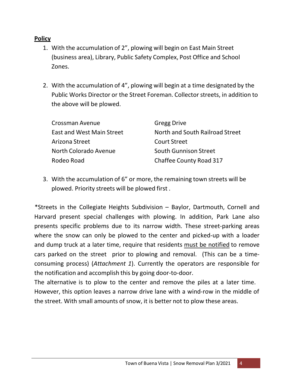#### **Policy**

- 1. With the accumulation of 2", plowing will begin on East Main Street (business area), Library, Public Safety Complex, Post Office and School Zones.
- 2. With the accumulation of 4", plowing will begin at a time designated by the Public Works Director or the Street Foreman. Collector streets, in addition to the above will be plowed.

| Crossman Avenue                  | <b>Gregg Drive</b>              |
|----------------------------------|---------------------------------|
| <b>East and West Main Street</b> | North and South Railroad Street |
| Arizona Street                   | <b>Court Street</b>             |
| North Colorado Avenue            | <b>South Gunnison Street</b>    |
| Rodeo Road                       | <b>Chaffee County Road 317</b>  |

3. With the accumulation of 6" or more, the remaining town streets will be plowed. Priority streets will be plowed first .

\*Streets in the Collegiate Heights Subdivision – Baylor, Dartmouth, Cornell and Harvard present special challenges with plowing. In addition, Park Lane also presents specific problems due to its narrow width. These street-parking areas where the snow can only be plowed to the center and picked-up with a loader and dump truck at a later time, require that residents must be notified to remove cars parked on the street prior to plowing and removal. (This can be a timeconsuming process) (*Attachment 1*). Currently the operators are responsible for the notification and accomplish this by going door-to-door.

The alternative is to plow to the center and remove the piles at a later time. However, this option leaves a narrow drive lane with a wind-row in the middle of the street. With small amounts of snow, it is better not to plow these areas.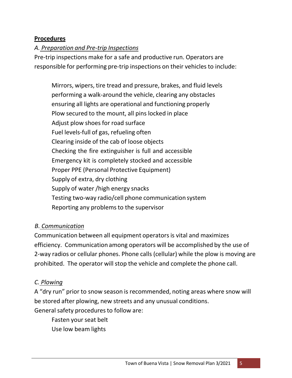#### **Procedures**

#### *A. Preparation and Pre‐trip Inspections*

Pre-trip inspections make for a safe and productive run. Operators are responsible for performing pre-trip inspections on their vehicles to include:

Mirrors, wipers, tire tread and pressure, brakes, and fluid levels performing a walk-around the vehicle, clearing any obstacles ensuring all lights are operational and functioning properly Plow secured to the mount, all pins locked in place Adjust plow shoes for road surface Fuel levels-full of gas, refueling often Clearing inside of the cab of loose objects Checking the fire extinguisher is full and accessible Emergency kit is completely stocked and accessible Proper PPE (Personal Protective Equipment) Supply of extra, dry clothing Supply of water /high energy snacks Testing two-way radio/cell phone communication system Reporting any problems to the supervisor

#### *B. Communication*

Communication between all equipment operatorsis vital and maximizes efficiency. Communication among operators will be accomplished by the use of 2-way radios or cellular phones. Phone calls (cellular) while the plow is moving are prohibited. The operator will stop the vehicle and complete the phone call.

#### *C. Plowing*

A "dry run" prior to snow season is recommended, noting areas where snow will be stored after plowing, new streets and any unusual conditions. General safety procedures to follow are:

Fasten your seat belt Use low beam lights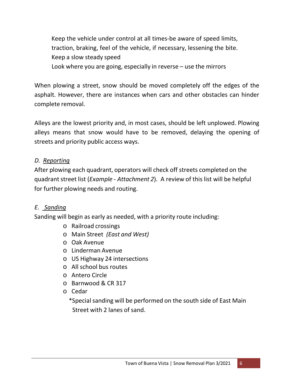Keep the vehicle under control at all times-be aware of speed limits, traction, braking, feel of the vehicle, if necessary, lessening the bite. Keep a slow steady speed Look where you are going, especially in reverse – use the mirrors

When plowing a street, snow should be moved completely off the edges of the asphalt. However, there are instances when cars and other obstacles can hinder complete removal.

Alleys are the lowest priority and, in most cases, should be left unplowed. Plowing alleys means that snow would have to be removed, delaying the opening of streets and priority public access ways.

### *D. Reporting*

After plowing each quadrant, operators will check off streets completed on the quadrant street list (*Example ‐ Attachment 2*). A review of this list will be helpful for further plowing needs and routing.

#### *E. Sanding*

Sanding will begin as early as needed, with a priority route including:

- o Railroad crossings
- o Main Street *(East and West)*
- o Oak Avenue
- o Linderman Avenue
- o US Highway 24 intersections
- o All school bus routes
- o Antero Circle
- o Barnwood & CR 317
- o Cedar

\*Special sanding will be performed on the south side of East Main Street with 2 lanes of sand.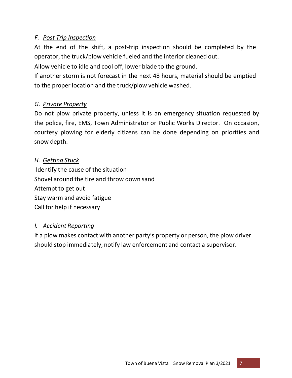### *F. Post Trip Inspection*

At the end of the shift, a post-trip inspection should be completed by the operator, the truck/plow vehicle fueled and the interior cleaned out.

Allow vehicle to idle and cool off, lower blade to the ground.

If another storm is not forecast in the next 48 hours, material should be emptied to the proper location and the truck/plow vehicle washed.

## *G. Private Property*

Do not plow private property, unless it is an emergency situation requested by the police, fire, EMS, Town Administrator or Public Works Director. On occasion, courtesy plowing for elderly citizens can be done depending on priorities and snow depth.

## *H. Getting Stuck*

Identify the cause of the situation Shovel around the tire and throw down sand Attempt to get out Stay warm and avoid fatigue Call for help if necessary

## *I. Accident Reporting*

If a plow makes contact with another party's property or person, the plow driver should stop immediately, notify law enforcement and contact a supervisor.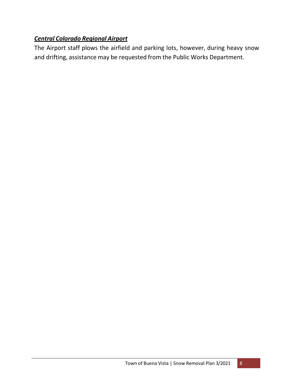## *Central Colorado Regional Airport*

The Airport staff plows the airfield and parking lots, however, during heavy snow and drifting, assistance may be requested from the Public Works Department.

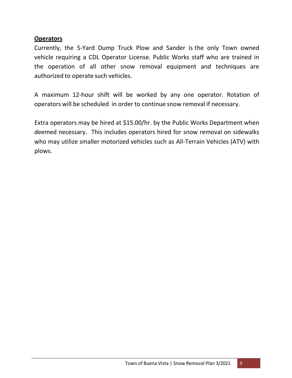#### **Operators**

Currently, the 5-Yard Dump Truck Plow and Sander is the only Town owned vehicle requiring a CDL Operator License. Public Works staff who are trained in the operation of all other snow removal equipment and techniques are authorized to operate such vehicles.

A maximum 12-hour shift will be worked by any one operator. Rotation of operators will be scheduled in order to continue snow removal if necessary.

Extra operators may be hired at \$15.00/hr. by the Public Works Department when deemed necessary. This includes operators hired for snow removal on sidewalks who may utilize smaller motorized vehicles such as All-Terrain Vehicles (ATV) with plows.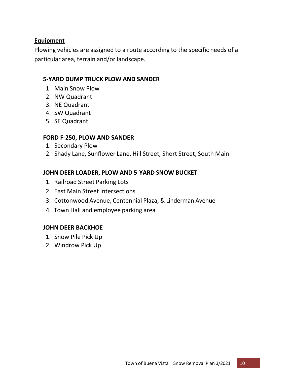#### **Equipment**

Plowing vehicles are assigned to a route according to the specific needs of a particular area, terrain and/or landscape.

#### **5‐YARD DUMP TRUCK PLOW AND SANDER**

- 1. Main Snow Plow
- 2. NW Quadrant
- 3. NE Quadrant
- 4. SW Quadrant
- 5. SE Quadrant

#### **FORD F-250, PLOW AND SANDER**

- 1. Secondary Plow
- 2. Shady Lane, Sunflower Lane, Hill Street, Short Street, South Main

#### **JOHN DEER LOADER, PLOW AND 5‐YARD SNOW BUCKET**

- 1. Railroad Street Parking Lots
- 2. East Main Street Intersections
- 3. Cottonwood Avenue, Centennial Plaza, & Linderman Avenue
- 4. Town Hall and employee parking area

#### **JOHN DEER BACKHOE**

- 1. Snow Pile Pick Up
- 2. Windrow Pick Up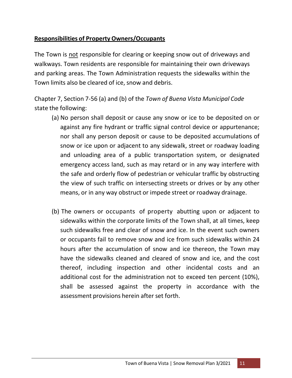## **Responsibilities of Property Owners/Occupants**

The Town is not responsible for clearing or keeping snow out of driveways and walkways. Town residents are responsible for maintaining their own driveways and parking areas. The Town Administration requests the sidewalks within the Town limits also be cleared of ice, snow and debris.

Chapter 7, Section 7-56 (a) and (b) of the *Town of Buena Vista Municipal Code* state the following:

- (a) No person shall deposit or cause any snow or ice to be deposited on or against any fire hydrant or traffic signal control device or appurtenance; nor shall any person deposit or cause to be deposited accumulations of snow or ice upon or adjacent to any sidewalk, street or roadway loading and unloading area of a public transportation system, or designated emergency access land, such as may retard or in any way interfere with the safe and orderly flow of pedestrian or vehicular traffic by obstructing the view of such traffic on intersecting streets or drives or by any other means, or in any way obstruct or impede street or roadway drainage.
- (b) The owners or occupants of property abutting upon or adjacent to sidewalks within the corporate limits of the Town shall, at all times, keep such sidewalks free and clear of snow and ice. In the event such owners or occupants fail to remove snow and ice from such sidewalks within 24 hours after the accumulation of snow and ice thereon, the Town may have the sidewalks cleaned and cleared of snow and ice, and the cost thereof, including inspection and other incidental costs and an additional cost for the administration not to exceed ten percent (10%), shall be assessed against the property in accordance with the assessment provisions herein after set forth.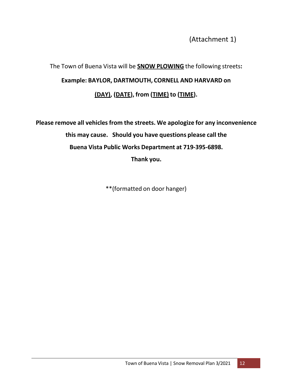(Attachment 1)

## The Town of Buena Vista will be **SNOW PLOWING** the following streets**: Example: BAYLOR, DARTMOUTH, CORNELL AND HARVARD on (DAY), (DATE), from (TIME) to (TIME).**

**Please remove all vehicles from the streets. We apologize for any inconvenience this may cause. Should you have questions please call the Buena Vista Public Works Department at 719-395‐6898. Thank you.**

\*\*(formatted on door hanger)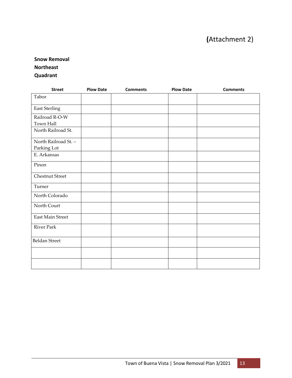## **(**Attachment 2)

## **Snow Removal**

## **Northeast**

#### **Quadrant**

| <b>Street</b>          | <b>Plow Date</b> | <b>Comments</b> | <b>Plow Date</b> | <b>Comments</b> |
|------------------------|------------------|-----------------|------------------|-----------------|
| Tabor                  |                  |                 |                  |                 |
| <b>East Sterling</b>   |                  |                 |                  |                 |
| Railroad R-O-W         |                  |                 |                  |                 |
| Town Hall              |                  |                 |                  |                 |
| North Railroad St.     |                  |                 |                  |                 |
| North Railroad St. -   |                  |                 |                  |                 |
| Parking Lot            |                  |                 |                  |                 |
| E. Arkansas            |                  |                 |                  |                 |
| Pinon                  |                  |                 |                  |                 |
| <b>Chestnut Street</b> |                  |                 |                  |                 |
| Turner                 |                  |                 |                  |                 |
| North Colorado         |                  |                 |                  |                 |
| North Court            |                  |                 |                  |                 |
| East Main Street       |                  |                 |                  |                 |
| River Park             |                  |                 |                  |                 |
| <b>Beldan Street</b>   |                  |                 |                  |                 |
|                        |                  |                 |                  |                 |
|                        |                  |                 |                  |                 |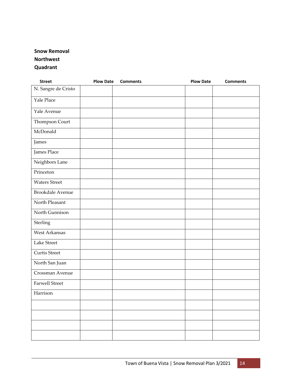## **Snow Removal Northwest**

**Quadrant**

| <b>Street</b>           | <b>Plow Date</b> | <b>Comments</b> | <b>Plow Date</b> | <b>Comments</b> |
|-------------------------|------------------|-----------------|------------------|-----------------|
| N. Sangre de Cristo     |                  |                 |                  |                 |
| Yale Place              |                  |                 |                  |                 |
| Yale Avenue             |                  |                 |                  |                 |
| Thompson Court          |                  |                 |                  |                 |
| McDonald                |                  |                 |                  |                 |
| James                   |                  |                 |                  |                 |
| James Place             |                  |                 |                  |                 |
| Neighbors Lane          |                  |                 |                  |                 |
| Princeton               |                  |                 |                  |                 |
| <b>Waters Street</b>    |                  |                 |                  |                 |
| <b>Brookdale Avenue</b> |                  |                 |                  |                 |
| North Pleasant          |                  |                 |                  |                 |
| North Gunnison          |                  |                 |                  |                 |
| Sterling                |                  |                 |                  |                 |
| West Arkansas           |                  |                 |                  |                 |
| Lake Street             |                  |                 |                  |                 |
| Curtis Street           |                  |                 |                  |                 |
| North San Juan          |                  |                 |                  |                 |
| Crossman Avenue         |                  |                 |                  |                 |
| <b>Farwell Street</b>   |                  |                 |                  |                 |
| Harrison                |                  |                 |                  |                 |
|                         |                  |                 |                  |                 |
|                         |                  |                 |                  |                 |
|                         |                  |                 |                  |                 |
|                         |                  |                 |                  |                 |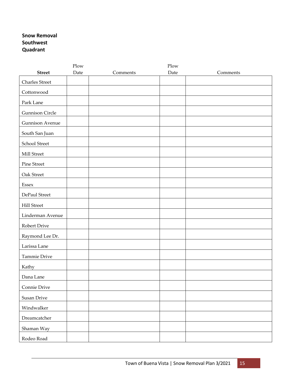#### **Snow Removal Southwest Quadrant**

|                        | Plow |          | Plow |          |
|------------------------|------|----------|------|----------|
| <b>Street</b>          | Date | Comments | Date | Comments |
| <b>Charles Street</b>  |      |          |      |          |
| Cottonwood             |      |          |      |          |
| Park Lane              |      |          |      |          |
| <b>Gunnison Circle</b> |      |          |      |          |
| <b>Gunnison Avenue</b> |      |          |      |          |
| South San Juan         |      |          |      |          |
| School Street          |      |          |      |          |
| Mill Street            |      |          |      |          |
| Pine Street            |      |          |      |          |
| Oak Street             |      |          |      |          |
| Essex                  |      |          |      |          |
| DePaul Street          |      |          |      |          |
| <b>Hill Street</b>     |      |          |      |          |
| Linderman Avenue       |      |          |      |          |
| Robert Drive           |      |          |      |          |
| Raymond Lee Dr.        |      |          |      |          |
| Larissa Lane           |      |          |      |          |
| Tammie Drive           |      |          |      |          |
| Kathy                  |      |          |      |          |
| Dana Lane              |      |          |      |          |
| Connie Drive           |      |          |      |          |
| Susan Drive            |      |          |      |          |
| Windwalker             |      |          |      |          |
| Dreamcatcher           |      |          |      |          |
| Shaman Way             |      |          |      |          |
| Rodeo Road             |      |          |      |          |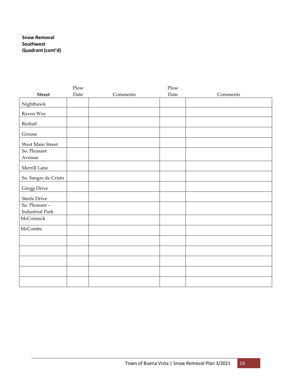#### **Snow Removal Southwest Quadrant(cont'd)**

|                        | Plow |          | Plow |          |
|------------------------|------|----------|------|----------|
| <b>Street</b>          | Date | Comments | Date | Comments |
| Nighthawk              |      |          |      |          |
| Raven Way              |      |          |      |          |
| Redtail                |      |          |      |          |
| Grouse                 |      |          |      |          |
| West Main Street       |      |          |      |          |
| So. Pleasant           |      |          |      |          |
| Avenue                 |      |          |      |          |
| Merrill Lane           |      |          |      |          |
| So. Sangre de Cristo   |      |          |      |          |
| <b>Gregg Drive</b>     |      |          |      |          |
| <b>Steele Drive</b>    |      |          |      |          |
| So. Pleasant-          |      |          |      |          |
| <b>Industrial Park</b> |      |          |      |          |
| McCormick              |      |          |      |          |
| McCombs                |      |          |      |          |
|                        |      |          |      |          |
|                        |      |          |      |          |
|                        |      |          |      |          |
|                        |      |          |      |          |
|                        |      |          |      |          |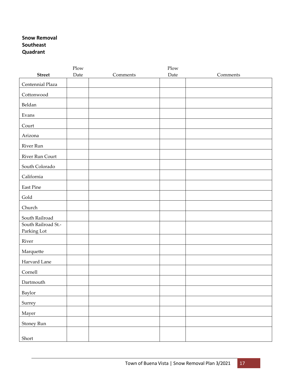#### **Snow Removal Southeast Quadrant**

|                                    | Plow |          | Plow |          |
|------------------------------------|------|----------|------|----------|
| <b>Street</b>                      | Date | Comments | Date | Comments |
| Centennial Plaza                   |      |          |      |          |
| Cottonwood                         |      |          |      |          |
| Beldan                             |      |          |      |          |
| Evans                              |      |          |      |          |
| Court                              |      |          |      |          |
| Arizona                            |      |          |      |          |
| River Run                          |      |          |      |          |
| River Run Court                    |      |          |      |          |
| South Colorado                     |      |          |      |          |
| California                         |      |          |      |          |
| East Pine                          |      |          |      |          |
| Gold                               |      |          |      |          |
| Church                             |      |          |      |          |
| South Railroad                     |      |          |      |          |
| South Railroad St.-<br>Parking Lot |      |          |      |          |
| River                              |      |          |      |          |
| Marquette                          |      |          |      |          |
| Harvard Lane                       |      |          |      |          |
| Cornell                            |      |          |      |          |
| Dartmouth                          |      |          |      |          |
| Baylor                             |      |          |      |          |
| Surrey                             |      |          |      |          |
| Mayer                              |      |          |      |          |
| Stoney Run                         |      |          |      |          |
| Short                              |      |          |      |          |